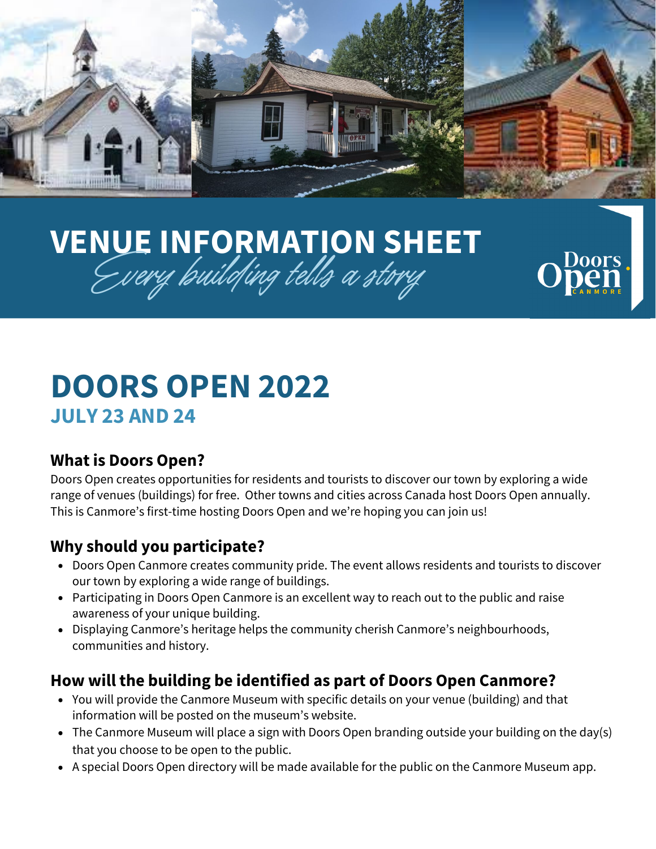

OOI

# **VENUE INFORMATION SHEET** Every building tells a story

## **DOORS OPEN 2022 JULY 23 AND 24**

#### **What is Doors Open?**

Doors Open creates opportunities for residents and tourists to discover our town by exploring a wide range of venues (buildings) for free. Other towns and cities across Canada host Doors Open annually. This is Canmore's first-time hosting Doors Open and we're hoping you can join us!

#### **Why should you participate?**

- Doors Open Canmore creates community pride. The event allows residents and tourists to discover our town by exploring a wide range of buildings.
- Participating in Doors Open Canmore is an excellent way to reach out to the public and raise awareness of your unique building.
- Displaying Canmore's heritage helps the community cherish Canmore's neighbourhoods, communities and history.

#### **How will the building be identified as part of Doors Open Canmore?**

- You will provide the Canmore Museum with specific details on your venue (building) and that information will be posted on the museum's website.
- The Canmore Museum will place a sign with Doors Open branding outside your building on the day(s) that you choose to be open to the public.
- A special Doors Open directory will be made available for the public on the Canmore Museum app.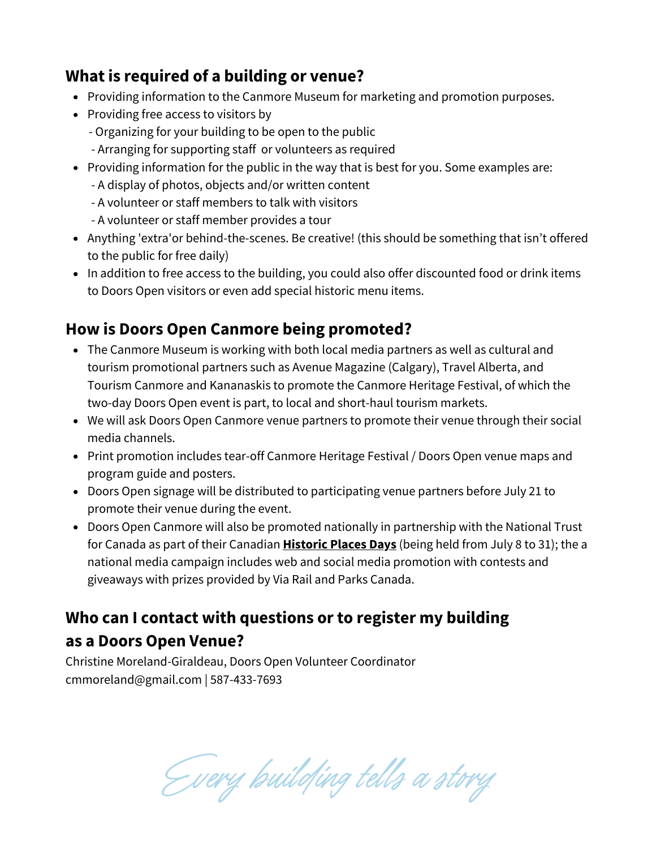#### **What is required of a building or venue?**

- Providing information to the Canmore Museum for marketing and promotion purposes.
- Providing free access to visitors by
	- Organizing for your building to be open to the public
	- Arranging for supporting staff or volunteers as required
- Providing information for the public in the way that is best for you. Some examples are:
	- A display of photos, objects and/or written content
	- A volunteer or staff members to talk with visitors
	- A volunteer or staff member provides a tour
- Anything 'extra'or behind-the-scenes. Be creative! (this should be something that isn't offered to the public for free daily)
- In addition to free access to the building, you could also offer discounted food or drink items to Doors Open visitors or even add special historic menu items.

#### **How is Doors Open Canmore being promoted?**

- The Canmore Museum is working with both local media partners as well as cultural and tourism promotional partners such as Avenue Magazine (Calgary), Travel Alberta, and Tourism Canmore and Kananaskis to promote the Canmore Heritage Festival, of which the two-day Doors Open event is part, to local and short-haul tourism markets.
- We will ask Doors Open Canmore venue partners to promote their venue through their social media channels.
- Print promotion includes tear-off Canmore Heritage Festival / Doors Open venue maps and program guide and posters.
- Doors Open signage will be distributed to participating venue partners before July 21 to promote their venue during the event.
- Doors Open Canmore will also be promoted nationally in partnership with the National Trust for Canada as part of their Canadian **[Historic](https://historicplacesdays.ca/) Places Days** (being held from July 8 to 31); the a national media campaign includes web and social media promotion with contests and giveaways with prizes provided by Via Rail and Parks Canada.

### **Who can I contact with questions or to register my building as a Doors Open Venue?**

Christine Moreland-Giraldeau, Doors Open Volunteer Coordinator cmmoreland@gmail.com | 587-433-7693

Every building tells a story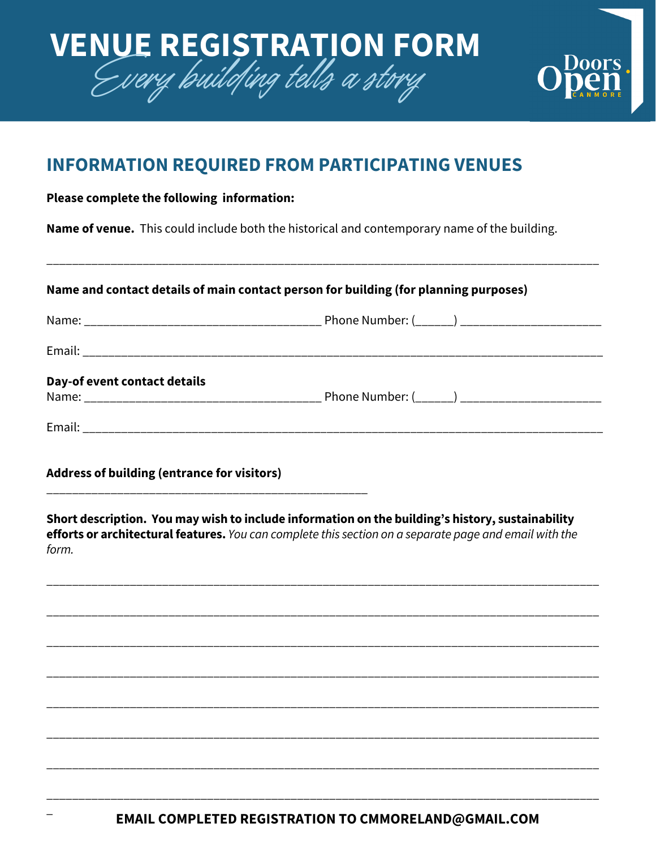

#### **INFORMATION REQUIRED FROM PARTICIPATING VENUES**

#### **Please complete the following information:**

\_

**Name of venue.** This could include both the historical and contemporary name of the building.

| Name and contact details of main contact person for building (for planning purposes) |                                                                                                                                                                                                            |  |
|--------------------------------------------------------------------------------------|------------------------------------------------------------------------------------------------------------------------------------------------------------------------------------------------------------|--|
|                                                                                      |                                                                                                                                                                                                            |  |
|                                                                                      |                                                                                                                                                                                                            |  |
| Day-of event contact details                                                         |                                                                                                                                                                                                            |  |
|                                                                                      |                                                                                                                                                                                                            |  |
| <b>Address of building (entrance for visitors)</b>                                   |                                                                                                                                                                                                            |  |
|                                                                                      | Short description. You may wish to include information on the building's history, sustainability<br>efforts or architectural features. You can complete this section on a separate page and email with the |  |
|                                                                                      |                                                                                                                                                                                                            |  |
|                                                                                      |                                                                                                                                                                                                            |  |
|                                                                                      |                                                                                                                                                                                                            |  |
| form.                                                                                |                                                                                                                                                                                                            |  |
|                                                                                      |                                                                                                                                                                                                            |  |